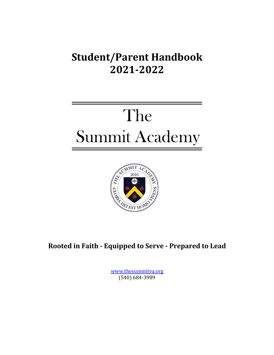# **Student/Parent Handbook 2021-2022**

# The **Summit Academy**



Rooted in Faith - Equipped to Serve - Prepared to Lead

www.thesummitva.org (540) 684-3989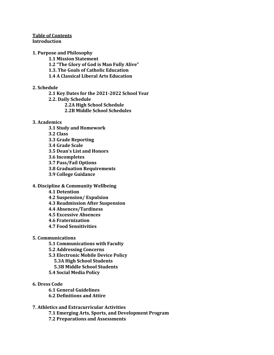#### **Table of Contents Introduction**

#### **1. Purpose and Philosophy**

- **1.1 Mission Statement**
- **1.2** "The Glory of God is Man Fully Alive"
- **1.3. The Goals of Catholic Education**
- **1.4 A Classical Liberal Arts Education**

#### **2. Schedule**

- **2.1 Key Dates for the 2021-2022 School Year**
- **2.2. Daily Schedule**
	- **2.2A High School Schedule**
	- **2.2B Middle School Schedules**

#### **3. Academics**

- **3.1 Study and Homework**
- **3.2 Class**
- **3.3 Grade Reporting**
- **3.4 Grade Scale**
- **3.5 Dean's List and Honors**
- **3.6 Incompletes**
- **3.7 Pass/Fail Options**
- **3.8 Graduation Requirements**
- **3.9 College Guidance**

#### **4. Discipline & Community Wellbeing**

- **4.1 Detention**
- **4.2 Suspension/ Expulsion**
- **4.3 Readmission After Suspension**
- **4.4 Absences/Tardiness**
- **4.5 Excessive Absences**
- **4.6 Fraternization**
- **4.7 Food Sensitivities**
- **5. Communications**
	- **5.1 Communications with Faculty**
	- **5.2 Addressing Concerns**
	- **5.3 Electronic Mobile Device Policy**
		- **5.3A High School Students**
		- **5.3B Middle School Students**
	- **5.4 Social Media Policy**
- **6. Dress Code**
	- **6.1 General Guidelines**
	- **6.2 Definitions and Attire**
- **7. Athletics and Extracurricular Activities**
	- **7.1 Emerging Arts, Sports, and Development Program**
	- **7.2 Preparations and Assessments**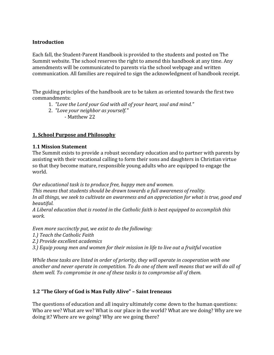#### **Introduction**

Each fall, the Student-Parent Handbook is provided to the students and posted on The Summit website. The school reserves the right to amend this handbook at any time. Any amendments will be communicated to parents via the school webpage and written communication. All families are required to sign the acknowledgment of handbook receipt.

The guiding principles of the handbook are to be taken as oriented towards the first two commandments: 

- 1. *"Love the Lord your God with all of your heart, soul and mind."*
- 2. *"Love your neighbor as yourself."*

- Matthew 22

#### **1. School Purpose and Philosophy**

#### **1.1 Mission Statement**

The Summit exists to provide a robust secondary education and to partner with parents by assisting with their vocational calling to form their sons and daughters in Christian virtue so that they become mature, responsible young adults who are equipped to engage the world. 

*Our educational task is to produce free, happy men and women.* 

This means that students should be drawn towards a full awareness of reality. In all things, we seek to cultivate an awareness and an appreciation for what is true, good and *beautiful.* 

A Liberal education that is rooted in the Catholic faith is best equipped to accomplish this *work.*

*Even more succinctly put, we exist to do the following:* 

*1.) Teach the Catholic Faith* 

2.) Provide excellent academics

3.) Equip young men and women for their mission in life to live out a fruitful vocation

*While these tasks are listed in order of priority, they will operate in cooperation with one* another and never operate in competition. To do one of them well means that we will do all of *them* well. To compromise in one of these tasks is to compromise all of them.

#### **1.2 "The Glory of God is Man Fully Alive" – Saint Ireneaus**

The questions of education and all inquiry ultimately come down to the human questions: Who are we? What are we? What is our place in the world? What are we doing? Why are we doing it? Where are we going? Why are we going there?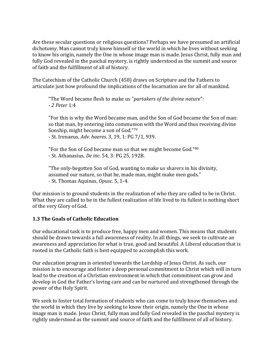Are these secular questions or religious questions? Perhaps we have presumed an artificial dichotomy. Man cannot truly know himself or the world in which he lives without seeking to know his origin, namely the One in whose image man is made. Jesus Christ, fully man and fully God revealed in the paschal mystery, is rightly understood as the summit and source of faith and the fulfillment of all of history.

The Catechism of the Catholic Church (458) draws on Scripture and the Fathers to articulate just how profound the implications of the Incarnation are for all of mankind.

"The Word became flesh to make us "partakers of the divine nature":  *- 2 Peter* 1:4

"For this is why the Word became man, and the Son of God became the Son of man: so that man, by entering into communion with the Word and thus receiving divine Sonship, might become a son of God."79

- St. Irenaeus, Adv. haeres. 3, 19, 1: PG 7/1, 939.

"For the Son of God became man so that we might become God."80 - St. Athanasius, *De inc.* 54, 3: PG 25, 192B.

"The only-begotten Son of God, wanting to make us sharers in his divinity, assumed our nature, so that he, made man, might make men gods." - St. Thomas Aquinas, Opusc. 5, 1-4.

Our mission is to ground students in the realization of who they are called to be in Christ. What they are called to be in the fullest realization of life lived to its fullest is nothing short of the very Glory of God.

#### **1.3 The Goals of Catholic Education**

Our educational task is to produce free, happy men and women. This means that students should be drawn towards a full awareness of reality. In all things, we seek to cultivate an awareness and appreciation for what is true, good and beautiful. A Liberal education that is rooted in the Catholic faith is best equipped to accomplish this work.

Our education program is oriented towards the Lordship of Jesus Christ. As such, our mission is to encourage and foster a deep personal commitment to Christ which will in turn lead to the creation of a Christian environment in which that commitment can grow and develop in God the Father's loving care and can be nurtured and strengthened through the power of the Holy Spirit.

We seek to foster total formation of students who can come to truly know themselves and the world in which they live by seeking to know their origin, namely the One in whose image man is made. Jesus Christ, fully man and fully God revealed in the paschal mystery is rightly understood as the summit and source of faith and the fulfillment of all of history.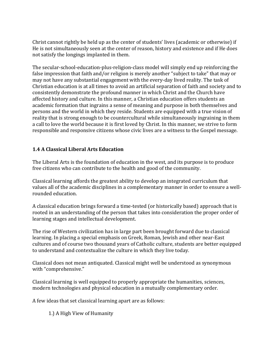Christ cannot rightly be held up as the center of students' lives (academic or otherwise) if He is not simultaneously seen at the center of reason, history and existence and if He does not satisfy the longings implanted in them.

The secular-school-education-plus-religion-class model will simply end up reinforcing the false impression that faith and/or religion is merely another "subject to take" that may or may not have any substantial engagement with the every-day lived reality. The task of Christian education is at all times to avoid an artificial separation of faith and society and to consistently demonstrate the profound manner in which Christ and the Church have affected history and culture. In this manner, a Christian education offers students an academic formation that ingrains a sense of meaning and purpose in both themselves and persons and the world in which they reside. Students are equipped with a true vision of reality that is strong enough to be countercultural while simultaneously ingraining in them a call to love the world because it is first loved by Christ. In this manner, we strive to form responsible and responsive citizens whose civic lives are a witness to the Gospel message.

#### **1.4 A Classical Liberal Arts Education**

The Liberal Arts is the foundation of education in the west, and its purpose is to produce free citizens who can contribute to the health and good of the community.

Classical learning affords the greatest ability to develop an integrated curriculum that values all of the academic disciplines in a complementary manner in order to ensure a wellrounded education.

A classical education brings forward a time-tested (or historically based) approach that is rooted in an understanding of the person that takes into consideration the proper order of learning stages and intellectual development.

The rise of Western civilization has in large part been brought forward due to classical learning. In placing a special emphasis on Greek, Roman, Jewish and other near-East cultures and of course two thousand years of Catholic culture, students are better equipped to understand and contextualize the culture in which they live today.

Classical does not mean antiquated. Classical might well be understood as synonymous with "comprehensive."

Classical learning is well equipped to properly appropriate the humanities, sciences, modern technologies and physical education in a mutually complementary order.

A few ideas that set classical learning apart are as follows:

1.) A High View of Humanity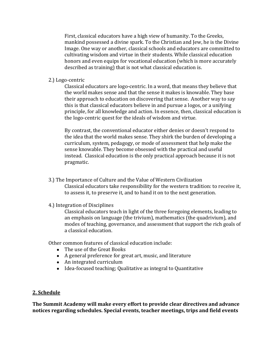First, classical educators have a high view of humanity. To the Greeks, mankind possessed a divine spark. To the Christian and Jew, he is the Divine Image. One way or another, classical schools and educators are committed to cultivating wisdom and virtue in their students. While classical education honors and even equips for vocational education (which is more accurately described as training) that is not what classical education is.

2.) Logo-centric 

Classical educators are logo-centric. In a word, that means they believe that the world makes sense and that the sense it makes is knowable. They base their approach to education on discovering that sense. Another way to say this is that classical educators believe in and pursue a logos, or a unifying principle, for all knowledge and action. In essence, then, classical education is the logo-centric quest for the ideals of wisdom and virtue.

By contrast, the conventional educator either denies or doesn't respond to the idea that the world makes sense. They shirk the burden of developing a curriculum, system, pedagogy, or mode of assessment that help make the sense knowable. They become obsessed with the practical and useful instead. Classical education is the only practical approach because it is not pragmatic. 

- 3.) The Importance of Culture and the Value of Western Civilization Classical educators take responsibility for the western tradition: to receive it, to assess it, to preserve it, and to hand it on to the next generation.
- 4.) Integration of Disciplines

Classical educators teach in light of the three foregoing elements, leading to an emphasis on language (the trivium), mathematics (the quadrivium), and modes of teaching, governance, and assessment that support the rich goals of a classical education.

Other common features of classical education include:

- The use of the Great Books
- A general preference for great art, music, and literature
- $\bullet$  An integrated curriculum
- Idea-focused teaching; Qualitative as integral to Quantitative

#### **2. Schedule**

The Summit Academy will make every effort to provide clear directives and advance notices regarding schedules. Special events, teacher meetings, trips and field events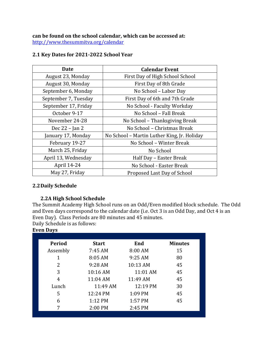can be found on the school calendar, which can be accessed at: http://www.thesummitva.org/calendar

#### **2.1 Key Dates for 2021-2022 School Year**

| <b>Date</b>          | <b>Calendar Event</b>                       |
|----------------------|---------------------------------------------|
| August 23, Monday    | First Day of High School School             |
| August 30, Monday    | First Day of 8th Grade                      |
| September 6, Monday  | No School - Labor Day                       |
| September 7, Tuesday | First Day of 6th and 7th Grade              |
| September 17, Friday | No School - Faculty Workday                 |
| October 9-17         | No School - Fall Break                      |
| November 24-28       | No School - Thanksgiving Break              |
| Dec 22 - Jan 2       | No School - Christmas Break                 |
| January 17, Monday   | No School - Martin Luther King, Jr. Holiday |
| February 19-27       | No School - Winter Break                    |
| March 25, Friday     | No School                                   |
| April 13, Wednesday  | Half Day - Easter Break                     |
| April 14-24          | No School - Easter Break                    |
| May 27, Friday       | Proposed Last Day of School                 |

#### **2.2Daily Schedule**

# **2.2A High School Schedule**

The Summit Academy High School runs on an Odd/Even modified block schedule. The Odd and Even days correspond to the calendar date (i.e. Oct 3 is an Odd Day, and Oct 4 is an Even Day). Class Periods are 80 minutes and 45 minutes.

Daily Schedule is as follows:

#### **Even Days**

| Period   | <b>Start</b> | End      | <b>Minutes</b> |
|----------|--------------|----------|----------------|
| Assembly | 7:45 AM      | 8:00 AM  | 15             |
| 1        | 8:05 AM      | 9:25 AM  | 80             |
| 2        | 9:28 AM      | 10:13 AM | 45             |
| 3        | $10:16$ AM   | 11:01 AM | 45             |
| 4        | 11:04 AM     | 11:49 AM | 45             |
| Lunch    | 11:49 AM     | 12:19 PM | 30             |
| 5        | 12:24 PM     | 1:09 PM  | 45             |
| 6        | 1:12 PM      | 1:57 PM  | 45             |
| 7        | 2:00 PM      | 2:45 PM  |                |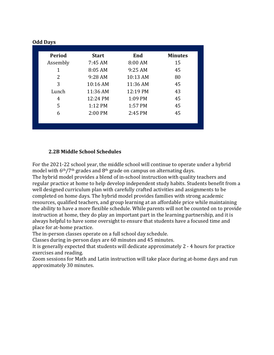| Period         | <b>Start</b> | End      | <b>Minutes</b> |
|----------------|--------------|----------|----------------|
| Assembly       | 7:45 AM      | 8:00 AM  | 15             |
| 1              | 8:05 AM      | 9:25 AM  | 45             |
| $\overline{2}$ | 9:28 AM      | 10:13 AM | 80             |
| 3              | 10:16 AM     | 11:36 AM | 45             |
| Lunch          | 11:36 AM     | 12:19 PM | 43             |
| 4              | 12:24 PM     | 1:09 PM  | 45             |
| 5              | 1:12 PM      | 1:57 PM  | 45             |
| 6              | 2:00 PM      | 2:45 PM  | 45             |

#### **2.2B Middle School Schedules**

For the 2021-22 school year, the middle school will continue to operate under a hybrid model with  $6<sup>th</sup>/7<sup>th</sup>$  grades and  $8<sup>th</sup>$  grade on campus on alternating days.

The hybrid model provides a blend of in-school instruction with quality teachers and regular practice at home to help develop independent study habits. Students benefit from a well designed curriculum plan with carefully crafted activities and assignments to be completed on home days. The hybrid model provides families with strong academic resources, qualified teachers, and group learning at an affordable price while maintaining the ability to have a more flexible schedule. While parents will not be counted on to provide instruction at home, they do play an important part in the learning partnership, and it is always helpful to have some oversight to ensure that students have a focused time and place for at-home practice.

The in-person classes operate on a full school day schedule.

Classes during in-person days are 60 minutes and 45 minutes.

It is generally expected that students will dedicate approximately  $2 - 4$  hours for practice exercises and reading.

Zoom sessions for Math and Latin instruction will take place during at-home days and run approximately 30 minutes.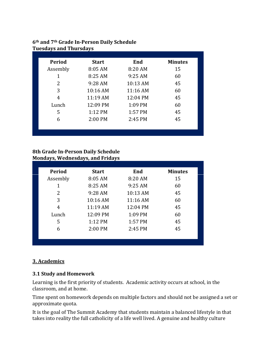#### **6th and 7th Grade In-Person Daily Schedule Tuesdays and Thursdays**

| Period        | <b>Start</b> | End        | <b>Minutes</b> |
|---------------|--------------|------------|----------------|
| Assembly      | 8:05 AM      | 8:20 AM    | 15             |
| 1             | 8:25 AM      | 9:25 AM    | 60             |
| $\mathcal{P}$ | 9:28 AM      | 10:13 AM   | 45             |
| 3             | $10:16$ AM   | $11:16$ AM | 60             |
| 4             | 11:19 AM     | 12:04 PM   | 45             |
| Lunch         | 12:09 PM     | 1:09 PM    | 60             |
| 5             | $1:12$ PM    | 1:57 PM    | 45             |
| 6             | 2:00 PM      | 2:45 PM    | 45             |
|               |              |            |                |

#### **8th Grade In-Person Daily Schedule Mondays, Wednesdays, and Fridays**

| Period   | <b>Start</b> | End       | <b>Minutes</b> |
|----------|--------------|-----------|----------------|
| Assembly | 8:05 AM      | 8:20 AM   | 15             |
| 1        | 8:25 AM      | $9:25$ AM | 60             |
| 2        | 9:28 AM      | 10:13 AM  | 45             |
| 3        | $10:16$ AM   | 11:16 AM  | 60             |
| 4        | 11:19 AM     | 12:04 PM  | 45             |
| Lunch    | 12:09 PM     | 1:09 PM   | 60             |
| 5        | 1:12 PM      | 1:57 PM   | 45             |
| 6        | 2:00 PM      | 2:45 PM   | 45             |

# **3. Academics**

#### **3.1 Study and Homework**

Learning is the first priority of students. Academic activity occurs at school, in the classroom, and at home.

Time spent on homework depends on multiple factors and should not be assigned a set or approximate quota.

It is the goal of The Summit Academy that students maintain a balanced lifestyle in that takes into reality the full catholicity of a life well lived. A genuine and healthy culture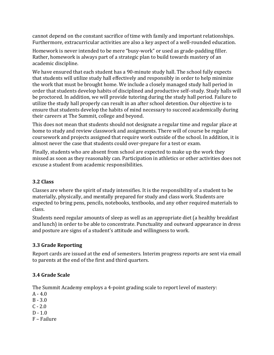cannot depend on the constant sacrifice of time with family and important relationships. Furthermore, extracurricular activities are also a key aspect of a well-rounded education.

Homework is never intended to be mere "busy-work" or used as grade-padding filler. Rather, homework is always part of a strategic plan to build towards mastery of an academic discipline.

We have ensured that each student has a 90-minute study hall. The school fully expects that students will utilize study hall effectively and responsibly in order to help minimize the work that must be brought home. We include a closely managed study hall period in order that students develop habits of disciplined and productive self-study. Study halls will be proctored. In addition, we will provide tutoring during the study hall period. Failure to utilize the study hall properly can result in an after school detention. Our objective is to ensure that students develop the habits of mind necessary to succeed academically during their careers at The Summit, college and beyond.

This does not mean that students should not designate a regular time and regular place at home to study and review classwork and assignments. There will of course be regular coursework and projects assigned that require work outside of the school. In addition, it is almost never the case that students could over-prepare for a test or exam.

Finally, students who are absent from school are expected to make up the work they missed as soon as they reasonably can. Participation in athletics or other activities does not excuse a student from academic responsibilities.

#### **3.2 Class**

Classes are where the spirit of study intensifies. It is the responsibility of a student to be materially, physically, and mentally prepared for study and class work. Students are expected to bring pens, pencils, notebooks, textbooks, and any other required materials to class. 

Students need regular amounts of sleep as well as an appropriate diet (a healthy breakfast and lunch) in order to be able to concentrate. Punctuality and outward appearance in dress and posture are signs of a student's attitude and willingness to work.

# **3.3 Grade Reporting**

Report cards are issued at the end of semesters. Interim progress reports are sent via email to parents at the end of the first and third quarters.

# **3.4 Grade Scale**

The Summit Academy employs a 4-point grading scale to report level of mastery:

- $A 4.0$
- $B 3.0$
- $C 2.0$
- $D 1.0$
- F Failure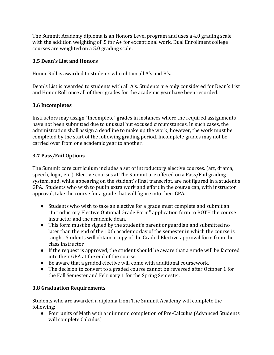The Summit Academy diploma is an Honors Level program and uses a 4.0 grading scale with the addition weighting of  $.5$  for  $A+$  for exceptional work. Dual Enrollment college courses are weighted on a 5.0 grading scale.

#### **3.5 Dean's List and Honors**

Honor Roll is awarded to students who obtain all A's and  $R's$ .

Dean's List is awarded to students with all A's. Students are only considered for Dean's List and Honor Roll once all of their grades for the academic year have been recorded.

#### **3.6 Incompletes**

Instructors may assign "Incomplete" grades in instances where the required assignments have not been submitted due to unusual but excused circumstances. In such cases, the administration shall assign a deadline to make up the work; however, the work must be completed by the start of the following grading period. Incomplete grades may not be carried over from one academic year to another.

#### **3.7 Pass/Fail Options**

The Summit core curriculum includes a set of introductory elective courses, (art, drama, speech, logic, etc.). Elective courses at The Summit are offered on a Pass/Fail grading system, and, while appearing on the student's final transcript, are not figured in a student's GPA. Students who wish to put in extra work and effort in the course can, with instructor approval, take the course for a grade that will figure into their GPA.

- Students who wish to take an elective for a grade must complete and submit an "Introductory Elective Optional Grade Form" application form to BOTH the course instructor and the academic dean.
- This form must be signed by the student's parent or guardian and submitted no later than the end of the 10th academic day of the semester in which the course is taught. Students will obtain a copy of the Graded Elective approval form from the class instructor
- $\bullet$  If the request is approved, the student should be aware that a grade will be factored into their GPA at the end of the course.
- $\bullet$  Be aware that a graded elective will come with additional coursework.
- The decision to convert to a graded course cannot be reversed after October 1 for the Fall Semester and February 1 for the Spring Semester.

# **3.8 Graduation Requirements**

Students who are awarded a diploma from The Summit Academy will complete the following:

● Four units of Math with a minimum completion of Pre-Calculus (Advanced Students will complete Calculus)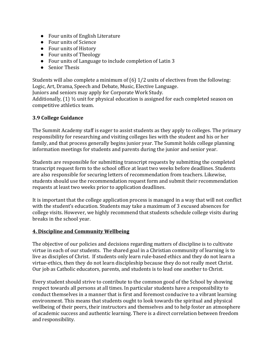- Four units of English Literature
- Four units of Science
- Four units of History
- Four units of Theology
- Four units of Language to include completion of Latin 3
- Senior Thesis

Students will also complete a minimum of  $(6)$  1/2 units of electives from the following: Logic, Art, Drama, Speech and Debate, Music, Elective Language.

Juniors and seniors may apply for Corporate Work Study.

Additionally,  $(1)$   $\frac{1}{2}$  unit for physical education is assigned for each completed season on competitive athletics team.

#### **3.9 College Guidance**

The Summit Academy staff is eager to assist students as they apply to colleges. The primary responsibility for researching and visiting colleges lies with the student and his or her family, and that process generally begins junior year. The Summit holds college planning information meetings for students and parents during the junior and senior year.

Students are responsible for submitting transcript requests by submitting the completed transcript request form to the school office at least two weeks before deadlines. Students are also responsible for securing letters of recommendation from teachers. Likewise, students should use the recommendation request form and submit their recommendation requests at least two weeks prior to application deadlines.

It is important that the college application process is managed in a way that will not conflict with the student's education. Students may take a maximum of 3 excused absences for college visits. However, we highly recommend that students schedule college visits during breaks in the school year.

#### **4. Discipline and Community Wellbeing**

The objective of our policies and decisions regarding matters of discipline is to cultivate virtue in each of our students. The shared goal in a Christian community of learning is to live as disciples of Christ. If students only learn rule-based ethics and they do not learn a virtue-ethics, then they do not learn discipleship because they do not really meet Christ. Our job as Catholic educators, parents, and students is to lead one another to Christ.

Every student should strive to contribute to the common good of the School by showing respect towards all persons at all times. In particular students have a responsibility to conduct themselves in a manner that is first and foremost conducive to a vibrant learning environment. This means that students ought to look towards the spiritual and physical wellbeing of their peers, their instructors and themselves and to help foster an atmosphere of academic success and authentic learning. There is a direct correlation between freedom and responsibility.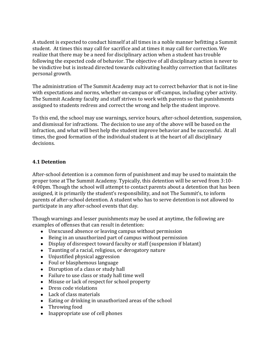A student is expected to conduct himself at all times in a noble manner befitting a Summit student. At times this may call for sacrifice and at times it may call for correction. We realize that there may be a need for disciplinary action when a student has trouble following the expected code of behavior. The objective of all disciplinary action is never to be vindictive but is instead directed towards cultivating healthy correction that facilitates personal growth.

The administration of The Summit Academy may act to correct behavior that is not in-line with expectations and norms, whether on-campus or off-campus, including cyber activity. The Summit Academy faculty and staff strives to work with parents so that punishments assigned to students redress and correct the wrong and help the student improve.

To this end, the school may use warnings, service hours, after-school detention, suspension, and dismissal for infractions. The decision to use any of the above will be based on the infraction, and what will best help the student improve behavior and be successful. At all times, the good formation of the individual student is at the heart of all disciplinary decisions.

#### **4.1 Detention**

After-school detention is a common form of punishment and may be used to maintain the proper tone at The Summit Academy. Typically, this detention will be served from 3:10-4:00pm. Though the school will attempt to contact parents about a detention that has been assigned, it is primarily the student's responsibility, and not The Summit's, to inform parents of after-school detention. A student who has to serve detention is not allowed to participate in any after-school events that day.

Though warnings and lesser punishments may be used at anytime, the following are examples of offenses that can result in detention:

- Unexcused absence or leaving campus without permission
- Being in an unauthorized part of campus without permission
- Display of disrespect toward faculty or staff (suspension if blatant)
- Taunting of a racial, religious, or derogatory nature
- Unjustified physical aggression
- Foul or blasphemous language
- Disruption of a class or study hall
- Failure to use class or study hall time well
- Misuse or lack of respect for school property
- Dress code violations
- Lack of class materials
- Eating or drinking in unauthorized areas of the school
- $\bullet$  Throwing food
- Inappropriate use of cell phones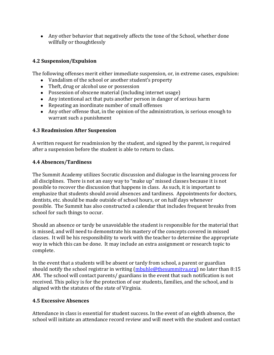• Any other behavior that negatively affects the tone of the School, whether done willfully or thoughtlessly

# **4.2 Suspension/Expulsion**

The following offenses merit either immediate suspension, or, in extreme cases, expulsion:

- Vandalism of the school or another student's property
- Theft, drug or alcohol use or possession
- Possession of obscene material (including internet usage)
- Any intentional act that puts another person in danger of serious harm
- Repeating an inordinate number of small offenses
- $\bullet$  Any other offense that, in the opinion of the administration, is serious enough to warrant such a punishment

#### **4.3 Readmission After Suspension**

A written request for readmission by the student, and signed by the parent, is required after a suspension before the student is able to return to class.

#### **4.4 Absences/Tardiness**

The Summit Academy utilizes Socratic discussion and dialogue in the learning process for all disciplines. There is not an easy way to "make up" missed classes because it is not possible to recover the discussion that happens in class. As such, it is important to emphasize that students should avoid absences and tardiness. Appointments for doctors, dentists, etc. should be made outside of school hours, or on half days whenever possible. The Summit has also constructed a calendar that includes frequent breaks from school for such things to occur.

Should an absence or tardy be unavoidable the student is responsible for the material that is missed, and will need to demonstrate his mastery of the concepts covered in missed classes. It will be his responsibility to work with the teacher to determine the appropriate way in which this can be done. It may include an extra assignment or research topic to complete. 

In the event that a students will be absent or tardy from school, a parent or guardian should notify the school registrar in writing  $(mbulle@the summitya.org)$  no later than 8:15 AM. The school will contact parents/ guardians in the event that such notification is not received. This policy is for the protection of our students, families, and the school, and is aligned with the statutes of the state of Virginia.

#### **4.5 Excessive Absences**

Attendance in class is essential for student success. In the event of an eighth absence, the school will initiate an attendance record review and will meet with the student and contact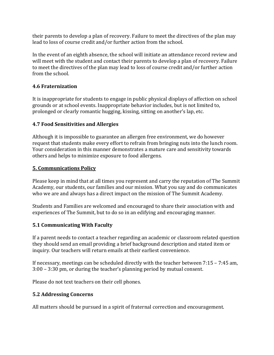their parents to develop a plan of recovery. Failure to meet the directives of the plan may lead to loss of course credit and/or further action from the school.

In the event of an eighth absence, the school will initiate an attendance record review and will meet with the student and contact their parents to develop a plan of recovery. Failure to meet the directives of the plan may lead to loss of course credit and/or further action from the school.

#### **4.6 Fraternization**

It is inappropriate for students to engage in public physical displays of affection on school grounds or at school events. Inappropriate behavior includes, but is not limited to, prolonged or clearly romantic hugging, kissing, sitting on another's lap, etc.

#### **4.7 Food Sensitivities and Allergies**

Although it is impossible to guarantee an allergen free environment, we do however request that students make every effort to refrain from bringing nuts into the lunch room. Your consideration in this manner demonstrates a mature care and sensitivity towards others and helps to minimize exposure to food allergens.

#### **5. Communications Policy**

Please keep in mind that at all times you represent and carry the reputation of The Summit Academy, our students, our families and our mission. What you say and do communicates who we are and always has a direct impact on the mission of The Summit Academy.

Students and Families are welcomed and encouraged to share their association with and experiences of The Summit, but to do so in an edifying and encouraging manner.

#### **5.1 Communicating With Faculty**

If a parent needs to contact a teacher regarding an academic or classroom related question they should send an email providing a brief background description and stated item or inquiry. Our teachers will return emails at their earliest convenience.

If necessary, meetings can be scheduled directly with the teacher between  $7:15 - 7:45$  am,  $3:00 - 3:30$  pm, or during the teacher's planning period by mutual consent.

Please do not text teachers on their cell phones.

#### **5.2 Addressing Concerns**

All matters should be pursued in a spirit of fraternal correction and encouragement.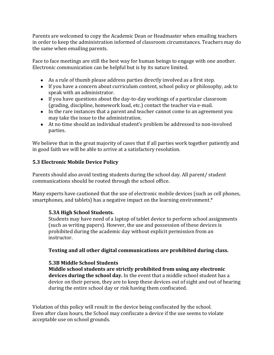Parents are welcomed to copy the Academic Dean or Headmaster when emailing teachers in order to keep the administration informed of classroom circumstances. Teachers may do the same when emailing parents.

Face to face meetings are still the best way for human beings to engage with one another. Electronic communication can be helpful but is by its nature limited.

- $\bullet$  As a rule of thumb please address parties directly involved as a first step.
- If you have a concern about curriculum content, school policy or philosophy, ask to speak with an administrator.
- If you have questions about the day-to-day workings of a particular classroom (grading, discipline, homework load, etc.) contact the teacher via e-mail.
- In the rare instances that a parent and teacher cannot come to an agreement you may take the issue to the administration.
- At no time should an individual student's problem be addressed to non-involved parties.

We believe that in the great majority of cases that if all parties work together patiently and in good faith we will be able to arrive at a satisfactory resolution.

#### **5.3 Electronic Mobile Device Policy**

Parents should also avoid texting students during the school day. All parent/ student communications should be routed through the school office.

Many experts have cautioned that the use of electronic mobile devices (such as cell phones, smartphones, and tablets) has a negative impact on the learning environment. $*$ 

#### **5.3A High School Students.**

Students may have need of a laptop of tablet device to perform school assignments (such as writing papers). Howver, the use and possession of these devices is prohibited during the academic day without explicit permission from an instructor. 

#### Texting and all other digital communications are prohibited during class.

#### **5.3B Middle School Students**

**Middle school students are strictly prohibited from using any electronic** devices during the school day. In the event that a middle school student has a device on their person, they are to keep these devices out of sight and out of hearing during the entire school day or risk having them confiscated.

Violation of this policy will result in the device being confiscated by the school. Even after class hours, the School may confiscate a device if the use seems to violate acceptable use on school grounds.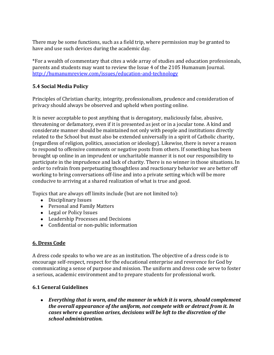There may be some functions, such as a field trip, where permission may be granted to have and use such devices during the academic day.

\*For a wealth of commentary that cites a wide array of studies and education professionals, parents and students may want to review the Issue 4 of the 2105 Humanum Journal. http://humanumreview.com/issues/education-and-technology

#### **5.4 Social Media Policy**

Principles of Christian charity, integrity, professionalism, prudence and consideration of privacy should always be observed and upheld when posting online.

It is never acceptable to post anything that is derogatory, maliciously false, abusive, threatening or defamatory, even if it is presented as jest or in a jocular tone. A kind and considerate manner should be maintained not only with people and institutions directly related to the School but must also be extended universally in a spirit of Catholic charity, (regardless of religion, politics, association or ideology). Likewise, there is never a reason to respond to offensive comments or negative posts from others. If something has been brought up online in an imprudent or uncharitable manner it is not our responsibility to participate in the imprudence and lack of charity. There is no winner in those situations. In order to refrain from perpetuating thoughtless and reactionary behavior we are better off working to bring conversations off-line and into a private setting which will be more conducive to arriving at a shared realization of what is true and good.

Topics that are always off limits include (but are not limited to):

- Disciplinary Issues
- Personal and Family Matters
- Legal or Policy Issues
- Leadership Processes and Decisions
- Confidential or non-public information

# **6. Dress Code**

A dress code speaks to who we are as an institution. The objective of a dress code is to encourage self-respect, respect for the educational enterprise and reverence for God by communicating a sense of purpose and mission. The uniform and dress code serve to foster a serious, academic environment and to prepare students for professional work.

# **6.1 General Guidelines**

• *Everything that is worn, and the manner in which it is worn, should complement the overall appearance of the uniform, not compete with or detract from it. In cases where a question arises, decisions will be left to the discretion of the school administration.*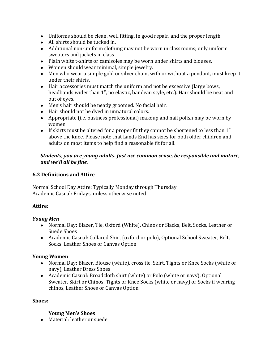- Uniforms should be clean, well fitting, in good repair, and the proper length.
- All shirts should be tucked in.
- Additional non-uniform clothing may not be worn in classrooms; only uniform sweaters and jackets in class.
- Plain white t-shirts or camisoles may be worn under shirts and blouses.
- Women should wear minimal, simple jewelry.
- Men who wear a simple gold or silver chain, with or without a pendant, must keep it under their shirts.
- Hair accessories must match the uniform and not be excessive (large bows, headbands wider than 1", no elastic, bandeau style, etc.). Hair should be neat and out of eyes.
- Men's hair should be neatly groomed. No facial hair.
- Hair should not be dyed in unnatural colors.
- Appropriate (i.e. business professional) makeup and nail polish may be worn by women.
- If skirts must be altered for a proper fit they cannot be shortened to less than 1" above the knee. Please note that Lands End has sizes for both older children and adults on most items to help find a reasonable fit for all.

#### *Students, you are young adults. Just use common sense, be responsible and mature, and we'll all be fine.*

#### **6.2 Definitions and Attire**

Normal School Day Attire: Typically Monday through Thursday Academic Casual: Fridays, unless otherwise noted

# **Attire:**

#### *Young Men*

- Normal Day: Blazer, Tie, Oxford (White), Chinos or Slacks, Belt, Socks, Leather or Suede Shoes
- Academic Casual: Collared Shirt (oxford or polo), Optional School Sweater, Belt, Socks, Leather Shoes or Canvas Option

# **Young Women**

- Normal Day: Blazer, Blouse (white), cross tie, Skirt, Tights or Knee Socks (white or navy), Leather Dress Shoes
- Academic Casual: Broadcloth shirt (white) or Polo (white or navy), Optional Sweater, Skirt or Chinos, Tights or Knee Socks (white or navy) or Socks if wearing chinos, Leather Shoes or Canvas Option

#### **Shoes:**

#### **Young Men's Shoes**

• Material: leather or suede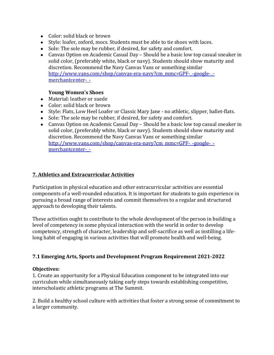- Color: solid black or brown
- Style: loafer, oxford, mocs. Students must be able to tie shoes with laces.
- Sole: The sole may be rubber, if desired, for safety and comfort.
- Canvas Option on Academic Casual Day Should be a basic low top casual sneaker in solid color, (preferably white, black or navy). Students should show maturity and discretion. Recommend the Navy Canvas Vans or something similar http://www.vans.com/shop/canvas-era-navy?cm\_mmc=GPF-\_-google-\_merchantcenter-\_-

#### Young Women's Shoes

- Material: leather or suede
- Color: solid black or brown
- Style: Flats, Low Heel Loafer or Classic Mary Jane no athletic, slipper, ballet-flats.
- Sole: The sole may be rubber, if desired, for safety and comfort.
- Canvas Option on Academic Casual Day Should be a basic low top casual sneaker in solid color, (preferably white, black or navy). Students should show maturity and discretion. Recommend the Navy Canvas Vans or something similar http://www.vans.com/shop/canvas-era-navy?cm\_mmc=GPF-\_-google-\_merchantcenter-\_-

#### **7. Athletics and Extracurricular Activities**

Participation in physical education and other extracurricular activities are essential components of a well-rounded education. It is important for students to gain experience in pursuing a broad range of interests and commit themselves to a regular and structured approach to developing their talents.

These activities ought to contribute to the whole development of the person in building a level of competency in some physical interaction with the world in order to develop competency, strength of character, leadership and self-sacrifice as well as instilling a lifelong habit of engaging in various activities that will promote health and well-being.

#### **7.1 Emerging Arts, Sports and Development Program Requirement 2021-2022**

#### **Objectives:**

1. Create an opportunity for a Physical Education component to be integrated into our curriculum while simultaneously taking early steps towards establishing competitive, interscholastic athletic programs at The Summit.

2. Build a healthy school culture with activities that foster a strong sense of commitment to a larger community.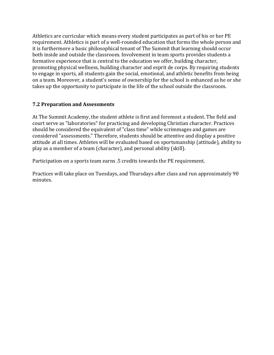Athletics are curricular which means every student participates as part of his or her PE requirement. Athletics is part of a well-rounded education that forms the whole person and it is furthermore a basic philosophical tenant of The Summit that learning should occur both inside and outside the classroom. Involvement in team sports provides students a formative experience that is central to the education we offer, building character, promoting physical wellness, building character and esprit de corps. By requiring students to engage in sports, all students gain the social, emotional, and athletic benefits from being on a team. Moreover, a student's sense of ownership for the school is enhanced as he or she takes up the opportunity to participate in the life of the school outside the classroom.

#### **7.2 Preparation and Assessments**

At The Summit Academy, the student athlete is first and foremost a student. The field and court serve as "laboratories" for practicing and developing Christian character. Practices should be considered the equivalent of "class time" while scrimmages and games are considered "assessments." Therefore, students should be attentive and display a positive attitude at all times. Athletes will be evaluated based on sportsmanship (attitude), ability to play as a member of a team (character), and personal ability (skill).

Participation on a sports team earns .5 credits towards the PE requirement.

Practices will take place on Tuesdays, and Thursdays after class and run approximately 90 minutes.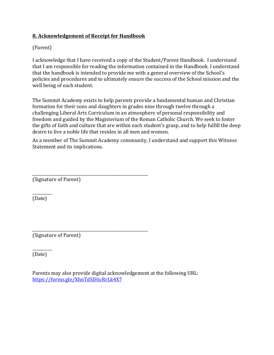#### **8. Acknowledgement of Receipt for Handbook**

(Parent)

I acknowledge that I have received a copy of the Student/Parent Handbook. I understand that I am responsible for reading the information contained in the Handbook. I understand that the handbook is intended to provide me with a general overview of the School's policies and procedures and to ultimately ensure the success of the School mission and the well being of each student.

The Summit Academy exists to help parents provide a fundamental human and Christian formation for their sons and daughters in grades nine through twelve through a challenging Liberal Arts Curriculum in an atmosphere of personal responsibility and freedom and guided by the Magisterium of the Roman Catholic Church. We seek to foster the gifts of faith and culture that are within each student's grasp, and to help fulfill the deep desire to live a noble life that resides in all men and women.

As a member of The Summit Academy community, I understand and support this Witness Statement and its implications.

\_\_\_\_\_\_\_\_\_\_\_\_\_\_\_\_\_\_\_\_\_\_\_\_\_\_\_\_\_\_\_\_\_\_\_\_\_\_\_\_\_\_\_\_\_\_\_\_\_\_\_\_\_\_\_\_\_\_ (Signature of Parent)

 $\overline{\phantom{a}}$ (Date)

\_\_\_\_\_\_\_\_\_\_\_\_\_\_\_\_\_\_\_\_\_\_\_\_\_\_\_\_\_\_\_\_\_\_\_\_\_\_\_\_\_\_\_\_\_\_\_\_\_\_\_\_\_\_\_\_\_\_ (Signature of Parent)

 $\overline{\phantom{a}}$ (Date)

Parents may also provide digital acknowledgement at the following URL: https://forms.gle/XhnTdSJHicRrLk4X7